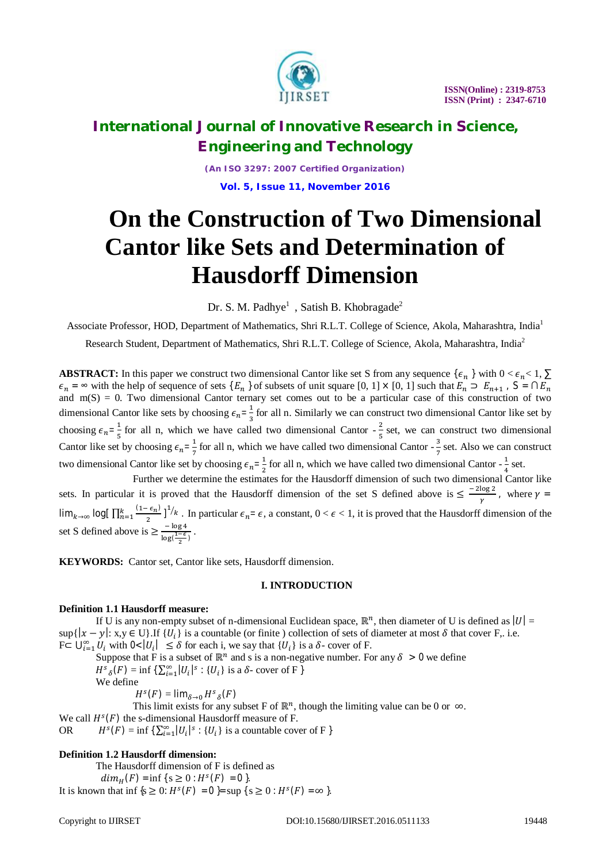

*(An ISO 3297: 2007 Certified Organization)*

**Vol. 5, Issue 11, November 2016**

# **On the Construction of Two Dimensional Cantor like Sets and Determination of Hausdorff Dimension**

Dr. S. M. Padhye<sup>1</sup>, Satish B. Khobragade<sup>2</sup>

Associate Professor, HOD, Department of Mathematics, Shri R.L.T. College of Science, Akola, Maharashtra, India<sup>1</sup> Research Student, Department of Mathematics, Shri R.L.T. College of Science, Akola, Maharashtra, India<sup>2</sup>

**ABSTRACT:** In this paper we construct two dimensional Cantor like set S from any sequence  $\{\epsilon_n\}$  with  $0 < \epsilon_n < 1$ ,  $\Sigma$  $\epsilon_n = \infty$  with the help of sequence of sets  $\{E_n\}$  of subsets of unit square  $[0, 1] \times [0, 1]$  such that  $E_n \supset E_{n+1}$ ,  $S = \bigcap E_n$ and  $m(S) = 0$ . Two dimensional Cantor ternary set comes out to be a particular case of this construction of two dimensional Cantor like sets by choosing  $\epsilon_n = \frac{1}{3}$  $\frac{1}{3}$  for all n. Similarly we can construct two dimensional Cantor like set by choosing  $\epsilon_n = \frac{1}{5}$  $\frac{1}{5}$  for all n, which we have called two dimensional Cantor  $-\frac{2}{5}$  $rac{2}{5}$  set, we can construct two dimensional Cantor like set by choosing  $\epsilon_n = \frac{1}{7}$  $\frac{1}{7}$  for all n, which we have called two dimensional Cantor -  $\frac{3}{7}$  $\frac{3}{7}$  set. Also we can construct two dimensional Cantor like set by choosing  $\epsilon_n = \frac{1}{2}$  $\frac{1}{2}$  for all n, which we have called two dimensional Cantor -  $\frac{1}{4}$  $\frac{1}{4}$  set.

Further we determine the estimates for the Hausdorff dimension of such two dimensional Cantor like sets. In particular it is proved that the Hausdorff dimension of the set S defined above is  $\leq \frac{-2\log 2}{\log 2}$  $\frac{\log 2}{\gamma}$ , where  $\gamma =$  $\lim_{k\to\infty} \log \left[ \prod_{n=1}^k \frac{(1-\epsilon_n)}{2} \right]$  $\overline{\mathbf{c}}$  $\frac{k}{n-1}$   $\frac{(1-\epsilon_n)}{2}$   $\int_0^{1/k}$ . In particular  $\epsilon_n = \epsilon$ , a constant,  $0 < \epsilon < 1$ , it is proved that the Hausdorff dimension of the set S defined above is  $\geq \frac{-\log 4}{\sqrt{1-\epsilon}}$  $\frac{-\log 4}{\log(\frac{1-\epsilon}{2})}$ .

**KEYWORDS:** Cantor set, Cantor like sets, Hausdorff dimension.

### **I. INTRODUCTION**

### **Definition 1.1 Hausdorff measure:**

If U is any non-empty subset of n-dimensional Euclidean space,  $\mathbb{R}^n$ , then diameter of U is defined as  $|U| =$  $\sup\{|x-y|: x,y \in U\}$ . If  $\{U_i\}$  is a countable (or finite) collection of sets of diameter at most  $\delta$  that cover F,. i.e.  $F \subset \bigcup_{i=1}^{\infty} U_i$  with  $0 < |U_i| \leq \delta$  for each i, we say that  $\{U_i\}$  is a  $\delta$ - cover of F.

Suppose that F is a subset of  $\mathbb{R}^n$  and s is a non-negative number. For any  $\delta > 0$  we define

 $H^s_{\delta}(F) = \inf \{ \sum_{i=1}^{\infty} |U_i|^s : \{U_i\} \text{ is a } \delta \text{- cover of } F \}$ We define

 $H^s(F) = \lim_{\delta \to 0} H^s_{\delta}(F)$ 

This limit exists for any subset F of  $\mathbb{R}^n$ , though the limiting value can be 0 or  $\infty$ . We call  $H<sup>s</sup>(F)$  the s-dimensional Hausdorff measure of F.

OR  $H^s(F) = \inf \{ \sum_{i=1}^{\infty} |U_i|^s : \{U_i\} \text{ is a countable cover of } F \}$ 

### **Definition 1.2 Hausdorff dimension:**

The Hausdorff dimension of F is defined as  $dim_H(F) = \inf \{ s \ge 0 : H^s(F) = 0 \}.$ 

It is known that inf  $\{s \ge 0: H^s(F) = 0\}$  = sup  $\{s \ge 0: H^s(F) = \infty\}$ .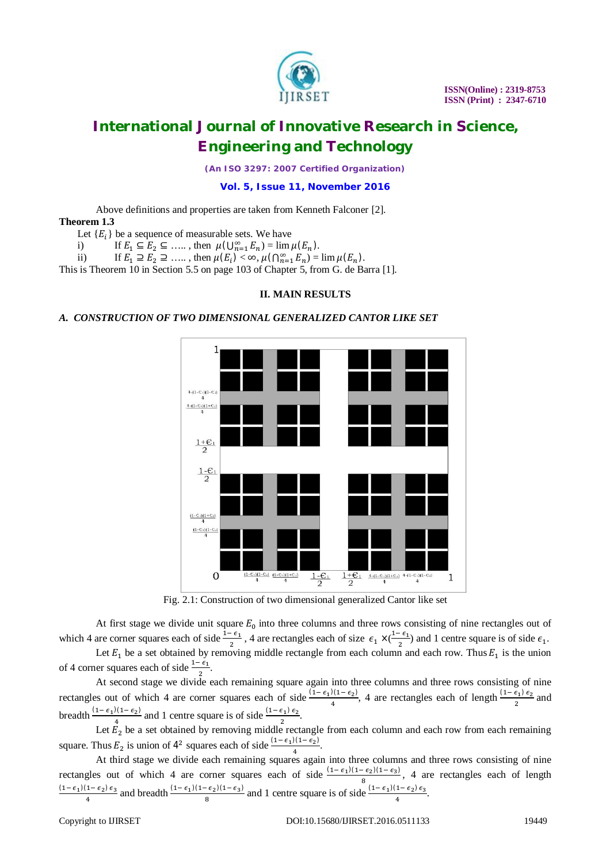

*(An ISO 3297: 2007 Certified Organization)*

**Vol. 5, Issue 11, November 2016**

Above definitions and properties are taken from Kenneth Falconer [2]. **Theorem 1.3**

Let  ${E_i}$  be a sequence of measurable sets. We have

- i) If  $E_1 \subseteq E_2 \subseteq \ldots$ , then  $\mu(\bigcup_{n=1}^{\infty} E_n) = \lim \mu(E_n)$ .
- ii) If  $E_1 \supseteq E_2 \supseteq \dots$ , then  $\mu(E_i) < \infty$ ,  $\mu(\bigcap_{n=1}^{\infty} E_n) = \lim \mu(E_n)$ .

This is Theorem 10 in Section 5.5 on page 103 of Chapter 5, from G. de Barra [1].

### **II. MAIN RESULTS**

### *A. CONSTRUCTION OF TWO DIMENSIONAL GENERALIZED CANTOR LIKE SET*



Fig. 2.1: Construction of two dimensional generalized Cantor like set

At first stage we divide unit square  $E_0$  into three columns and three rows consisting of nine rectangles out of which 4 are corner squares each of side  $\frac{1-\epsilon_1}{2}$ , 4 are rectangles each of size  $\epsilon_1 \times (\frac{1-\epsilon_1}{2})$  $\frac{\epsilon_1}{2}$ ) and 1 centre square is of side  $\epsilon_1$ .

Let  $E_1$  be a set obtained by removing middle rectangle from each column and each row. Thus  $E_1$  is the union of 4 corner squares each of side  $\frac{1-\epsilon_1}{2}$ .

At second stage we divide each remaining square again into three columns and three rows consisting of nine rectangles out of which 4 are corner squares each of side  $\frac{(1-\epsilon_1)(1-\epsilon_2)}{4}$  $\frac{f(1-\epsilon_2)}{4}$ , 4 are rectangles each of length  $\frac{(1-\epsilon_1)\epsilon_2}{2}$  and breadth  $\frac{(1-\epsilon_1)(1-\epsilon_2)}{4}$  $\frac{2(1-\epsilon_2)}{4}$  and 1 centre square is of side  $\frac{(1-\epsilon_1)\epsilon_2}{2}$ .

Let  $E_2$  be a set obtained by removing middle rectangle from each column and each row from each remaining square. Thus  $E_2$  is union of  $4^2$  squares each of side  $\frac{(1-\epsilon_1)(1-\epsilon_2)}{4}$  $\frac{(1-\epsilon_2)}{4}$ .

At third stage we divide each remaining squares again into three columns and three rows consisting of nine rectangles out of which 4 are corner squares each of side  $\frac{(1-\epsilon_1)(1-\epsilon_2)(1-\epsilon_3)}{2}$  $\frac{\epsilon_{2}(x)-\epsilon_{3}}{8}$ , 4 are rectangles each of length  $(1-\epsilon_1)(1-\epsilon_2)\epsilon_3$  $\frac{(1-\epsilon_2)(\epsilon_3)}{4}$  and breadth  $\frac{(1-\epsilon_1)(1-\epsilon_2)(1-\epsilon_3)}{8}$  $\frac{(\epsilon_2)(1-\epsilon_3)}{8}$  and 1 centre square is of side  $\frac{(1-\epsilon_1)(1-\epsilon_2)\epsilon_3}{4}$ .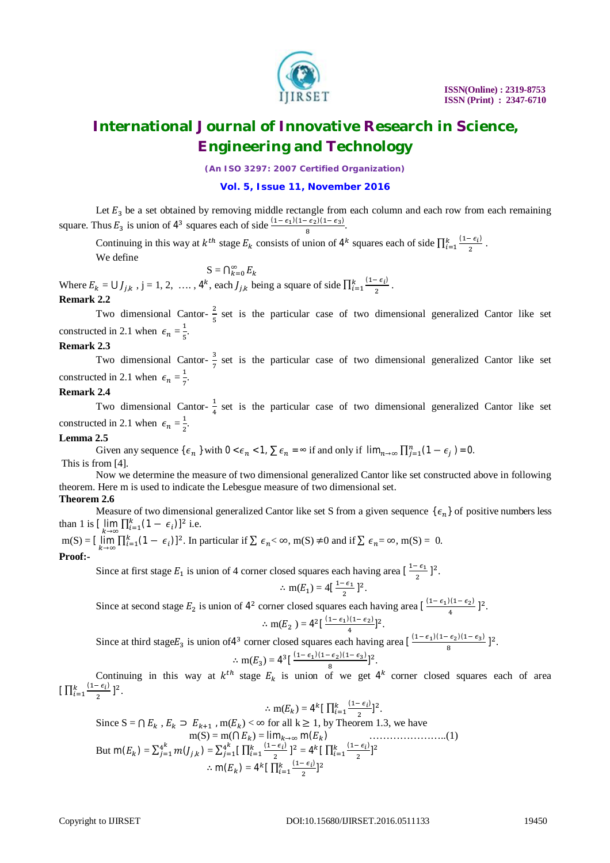

*(An ISO 3297: 2007 Certified Organization)*

### **Vol. 5, Issue 11, November 2016**

Let  $E_3$  be a set obtained by removing middle rectangle from each column and each row from each remaining square. Thus  $E_3$  is union of  $4^3$  squares each of side  $\frac{(1-\epsilon_1)(1-\epsilon_2)(1-\epsilon_3)}{8}$  $\frac{e_2(1-e_3)}{8}$ .

Continuing in this way at  $k^{th}$  stage  $E_k$  consists of union of 4<sup>k</sup> squares each of side  $\prod_{i=1}^k \frac{(1-\epsilon_i)}{2}$ ଶ  $\frac{(1-\epsilon_i)}{i}$ .

We define

$$
S=\bigcap_{k=0}^\infty E_k
$$

Where  $E_k = \bigcup_{j,k}$ ,  $j = 1, 2, \ldots, 4^k$ , each  $J_{j,k}$  being a square of side  $\prod_{i=1}^k \frac{(1 - \epsilon_i)}{2^i}$ 2  $\frac{(1-\epsilon_i)}{i}$ .

### **Remark 2.2**

Two dimensional Cantor- $\frac{2}{5}$  $\frac{2}{5}$  set is the particular case of two dimensional generalized Cantor like set constructed in 2.1 when  $\epsilon_n = \frac{1}{5}$  $\frac{1}{5}$ .

### **Remark 2.3**

Two dimensional Cantor- $\frac{3}{7}$  $\frac{3}{7}$  set is the particular case of two dimensional generalized Cantor like set constructed in 2.1 when  $\epsilon_n = \frac{1}{7}$  $\frac{1}{7}$ .

### **Remark 2.4**

Two dimensional Cantor- $\frac{1}{4}$  $\frac{1}{4}$  set is the particular case of two dimensional generalized Cantor like set constructed in 2.1 when  $\epsilon_n = \frac{1}{2}$  $\frac{1}{2}$ .

### **Lemma 2.5**

Given any sequence { $\epsilon_n$ } with  $0 < \epsilon_n < 1$ ,  $\sum \epsilon_n = \infty$  if and only if  $\lim_{n \to \infty} \prod_{j=1}^n (1 - \epsilon_j) = 0$ . This is from [4].

Now we determine the measure of two dimensional generalized Cantor like set constructed above in following theorem. Here m is used to indicate the Lebesgue measure of two dimensional set.

### **Theorem 2.6**

Measure of two dimensional generalized Cantor like set S from a given sequence  $\{\epsilon_n\}$  of positive numbers less than 1 is  $[\lim_{k \to \infty} \prod_{i=1}^{k} (1 - \epsilon_i)]^2$  i.e.

 $m(S) = \left[\lim_{k \to \infty} \prod_{i=1}^{k} (1 - \epsilon_i)\right]^2$ . In particular if  $\sum \epsilon_n < \infty$ ,  $m(S) \neq 0$  and if  $\sum \epsilon_n = \infty$ ,  $m(S) = 0$ . **Proof:-**

Since at first stage  $E_1$  is union of 4 corner closed squares each having area  $\left[\frac{1-\epsilon_1}{2}\right]$  $\frac{\epsilon_1}{2}$ ]<sup>2</sup>.

$$
\therefore \text{ m}(E_1) = 4\left[\frac{1-\epsilon_1}{2}\right]^2.
$$

Since at second stage  $E_2$  is union of  $4^2$  corner closed squares each having area  $\left[\frac{(1-\epsilon_1)(1-\epsilon_2)}{4}\right]$  $\frac{1}{4}$ [1- $\frac{\epsilon_2}{2}$ ]<sup>2</sup>.

$$
\therefore \mathrm{m}(E_2^-) = 4^2 \big[ \, \tfrac{(1-\epsilon_1)(1-\epsilon_2)}{4} \big]^2.
$$

Since at third stage  $E_3$  is union of 4<sup>3</sup> corner closed squares each having area  $\left[\frac{(1-\epsilon_1)(1-\epsilon_2)(1-\epsilon_3)}{8}\right]$  $\frac{\epsilon_2(1-\epsilon_3)}{8}$ ]<sup>2</sup>.

$$
\therefore \text{ m}(E_3) = 4^3 \left[ \frac{(1-\epsilon_1)(1-\epsilon_2)(1-\epsilon_3)}{8} \right]^2.
$$

Continuing in this way at  $k^{th}$  stage  $E_k$  is union of we get  $4^k$  corner closed squares each of area  $\prod_{i=1}^k \frac{(1-\epsilon_i)}{2}$  $\overline{\mathbf{c}}$  $\frac{k}{i=1} \frac{(1-\epsilon_i)}{2}$ ]<sup>2</sup>.

$$
\therefore \operatorname{m}(E_k) = 4^k \left[ \prod_{i=1}^k \frac{(1 - \epsilon_i)}{2} \right]^2.
$$

Since 
$$
S = \bigcap E_k
$$
,  $E_k \supset E_{k+1}$ ,  $m(E_k) < \infty$  for all  $k \ge 1$ , by Theorem 1.3, we have  
\n
$$
m(S) = m(\bigcap E_k) = \lim_{k \to \infty} m(E_k)
$$
\n
$$
But \ m(E_k) = \sum_{j=1}^{4^k} m(J_{j,k}) = \sum_{j=1}^{4^k} \bigcap_{i=1}^{k} \frac{(1 - \epsilon_i)}{2}\big]^{2} = 4^k \big[ \prod_{i=1}^{k} \frac{(1 - \epsilon_i)}{2}\big]^{2}
$$
\n
$$
\therefore m(E_k) = 4^k \big[ \prod_{i=1}^{k} \frac{(1 - \epsilon_i)}{2}\big]^{2}
$$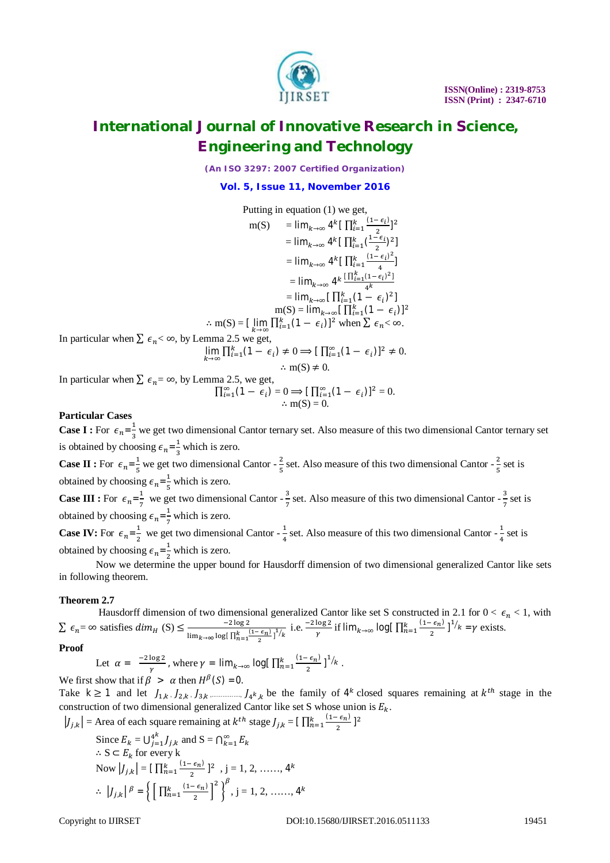

*(An ISO 3297: 2007 Certified Organization)*

**Vol. 5, Issue 11, November 2016**

Putting in equation (1) we get,  
\n
$$
m(S) = \lim_{k \to \infty} 4^k \left[ \prod_{i=1}^k \frac{(1-\epsilon_i)}{2} \right]^2
$$
\n
$$
= \lim_{k \to \infty} 4^k \left[ \prod_{i=1}^k \frac{(1-\epsilon_i)^2}{2} \right]
$$
\n
$$
= \lim_{k \to \infty} 4^k \left[ \prod_{i=1}^k \frac{(1-\epsilon_i)^2}{4} \right]
$$
\n
$$
= \lim_{k \to \infty} 4^k \frac{\left[ \prod_{i=1}^k (1-\epsilon_i)^2 \right]}{4^k}
$$
\n
$$
= \lim_{k \to \infty} \left[ \prod_{i=1}^k (1-\epsilon_i)^2 \right]
$$
\n
$$
\therefore m(S) = \left[ \lim_{k \to \infty} \prod_{i=1}^k (1-\epsilon_i)^2 \right]
$$
\n
$$
\therefore m(S) = \left[ \lim_{k \to \infty} \prod_{i=1}^k (1-\epsilon_i)^2 \right]
$$
\n
$$
\therefore m(S) \neq 0.
$$
\nIn particular when  $\sum \epsilon_n < \infty$ , by Lemma 2.5 we get,  
\n
$$
\lim_{k \to \infty} \prod_{i=1}^k (1-\epsilon_i) \neq 0 \Rightarrow \left[ \prod_{i=1}^{\infty} (1-\epsilon_i) \right]^2 \neq 0.
$$
\n
$$
\therefore m(S) \neq 0.
$$
\nIn particular when  $\sum \epsilon_n = \infty$ , by Lemma 2.5, we get,  
\n
$$
\prod_{i=1}^{\infty} (1-\epsilon_i) = 0 \Rightarrow \left[ \prod_{i=1}^{\infty} (1-\epsilon_i) \right]^2 = 0.
$$
\n
$$
\therefore m(S) = 0.
$$

### **Particular Cases**

**Case I :** For  $\epsilon_n = \frac{1}{3}$  $\frac{1}{3}$  we get two dimensional Cantor ternary set. Also measure of this two dimensional Cantor ternary set is obtained by choosing  $\epsilon_n = \frac{1}{3}$  $\frac{1}{3}$  which is zero.

**Case II :** For  $\epsilon_n = \frac{1}{5}$  $\frac{1}{5}$  we get two dimensional Cantor -  $\frac{2}{5}$  $\frac{2}{5}$  set. Also measure of this two dimensional Cantor -  $\frac{2}{5}$  $rac{2}{5}$  set is obtained by choosing  $\epsilon_n = \frac{1}{5}$  $\frac{1}{5}$  which is zero.

**Case III :** For  $\epsilon_n = \frac{1}{7}$  $\frac{1}{7}$  we get two dimensional Cantor -  $\frac{3}{7}$  $\frac{3}{7}$  set. Also measure of this two dimensional Cantor -  $\frac{3}{7}$  $\frac{3}{7}$  set is obtained by choosing  $\epsilon_n = \frac{1}{7}$  $\frac{1}{7}$  which is zero.

**Case IV:** For  $\epsilon_n = \frac{1}{2}$  $\frac{1}{2}$  we get two dimensional Cantor -  $\frac{1}{4}$  $\frac{1}{4}$  set. Also measure of this two dimensional Cantor -  $\frac{1}{4}$  $rac{1}{4}$  set is obtained by choosing  $\epsilon_n = \frac{1}{2}$  $\frac{1}{2}$  which is zero.

Now we determine the upper bound for Hausdorff dimension of two dimensional generalized Cantor like sets in following theorem.

### **Theorem 2.7**

Hausdorff dimension of two dimensional generalized Cantor like set S constructed in 2.1 for  $0 < \epsilon_n < 1$ , with  $\sum \epsilon_n = \infty$  satisfies  $dim_H(S) \leq \frac{-2 \log 2}{\log (1 + \epsilon)}$  $\frac{-2 \log 2}{\lim_{k \to \infty} \log \left[\frac{\pi}{2} \frac{(1-\epsilon_{n})}{2}\right]^{\frac{1}{k}}$  i.e.  $\frac{-2 \log 2}{\gamma}$  if  $\lim_{k \to \infty} \log \left[\prod_{n=1}^{k} \frac{(1-\epsilon_{n})}{2}\right]$  $\overline{\mathbf{c}}$  $\int_{0}^{k} \frac{(1-\epsilon_n)}{2}$ ]<sup>1</sup>/ $k = \gamma$  exists.

**Proof** 

Let 
$$
\alpha = \frac{-2\log 2}{\gamma}
$$
, where  $\gamma = \lim_{k \to \infty} \log \left[ \prod_{n=1}^{k} \frac{(1 - \epsilon_n)}{2} \right]^{\frac{1}{k}}$ .

We first show that if  $\beta > \alpha$  then  $H^{\beta}(S) = 0$ . Take  $k \ge 1$  and let  $J_{1,k}$ ,  $J_{2,k}$ ,  $J_{3,k}$ ,  $\ldots$ ,  $J_{4}$ ,  $k$ , be the family of  $4^k$  closed squares remaining at  $k^{th}$  stage in the construction of two dimensional generalized Cantor like set S whose union is  $E_k$ .

$$
|J_{j,k}| = \text{Area of each square remaining at } k^{th} \text{ stage } J_{j,k} = \left[\prod_{n=1}^{k} \frac{(1-\epsilon_n)}{2}\right]^2
$$
  
Since  $E_k = \bigcup_{j=1}^{4^k} J_{j,k}$  and  $S = \bigcap_{k=1}^{\infty} E_k$   
 $\therefore S \subset E_k$  for every k  
Now  $|J_{j,k}| = \left[\prod_{n=1}^{k} \frac{(1-\epsilon_n)}{2}\right]^2$ ,  $j = 1, 2, \dots, 4^k$   
 $\therefore |J_{j,k}| \beta = \left\{\left[\prod_{n=1}^{k} \frac{(1-\epsilon_n)}{2}\right]^2\right\}^{\beta}, j = 1, 2, \dots, 4^k$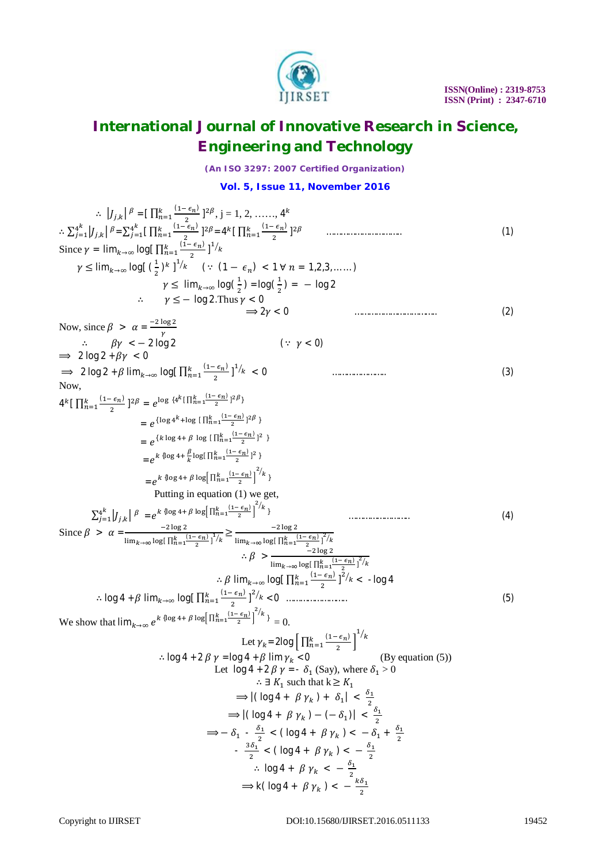

*(An ISO 3297: 2007 Certified Organization)*

**Vol. 5, Issue 11, November 2016**

| $\therefore$ $ J_{i,k} ^{\beta} = [\prod_{n=1}^{k} \frac{(1-\epsilon_n)}{2}]^{2\beta}, j = 1, 2, \dots, 4^k$<br>$\therefore \sum_{i=1}^{4^k}  J_{j,k} ^{\beta} = \sum_{i=1}^{4^k} [\prod_{n=1}^k \frac{(1-\epsilon_n)}{2}]^{2\beta} = 4^k [\prod_{n=1}^k \frac{(1-\epsilon_n)}{2}]^{2\beta}$<br>Since $\gamma = \lim_{k \to \infty} \log \left[ \prod_{n=1}^{k} \frac{(1 - \epsilon_n)}{2} \right]^{1/k}$<br>$\gamma \leq \lim_{k \to \infty} \log \left[ \left( \frac{1}{2} \right)^k \right]^{1/k}$ $\left( \because (1 - \epsilon_n) < 1 \,\forall \, n = 1, 2, 3, \dots \right)$<br>$\gamma \leq \lim_{k\to\infty} \log(\frac{1}{2}) = \log(\frac{1}{2}) = -\log 2$ | (1) |
|-------------------------------------------------------------------------------------------------------------------------------------------------------------------------------------------------------------------------------------------------------------------------------------------------------------------------------------------------------------------------------------------------------------------------------------------------------------------------------------------------------------------------------------------------------------------------------------------------------------------------------------------------------------------------|-----|
| $\therefore$ $\gamma \leq -\log 2$ . Thus $\gamma < 0$<br>$\Rightarrow$ 2 $\nu$ < 0                                                                                                                                                                                                                                                                                                                                                                                                                                                                                                                                                                                     | (2) |
| Now, since $\beta > \alpha = \frac{-2 \log 2}{v}$                                                                                                                                                                                                                                                                                                                                                                                                                                                                                                                                                                                                                       |     |
| $\therefore$ $\beta \gamma < -2 \log 2$<br>$(: \gamma < 0)$<br>$\implies$ 2 log 2 + $\beta \gamma$ < 0                                                                                                                                                                                                                                                                                                                                                                                                                                                                                                                                                                  |     |
| $\Rightarrow$ 2 log 2 + $\beta$ lim <sub><math>k\rightarrow\infty</math></sub> log[ $\prod_{n=1}^{k} \frac{(1-\epsilon_n)}{2}$ ] <sup>1</sup> / $k < 0$                                                                                                                                                                                                                                                                                                                                                                                                                                                                                                                 | (3) |
| Now,<br>$4^k\big[\prod_{n=1}^k\frac{(1-\epsilon_n)}{2}\big]^{2\beta} = \,e^{\log\,\{4^k[\prod_{n=1}^k\frac{(1-\epsilon_n)}{2}]^{2\beta}\}}$                                                                                                                                                                                                                                                                                                                                                                                                                                                                                                                             |     |
| $= e^{\{\log 4^k + \log \left[\prod_{n=1}^k \frac{(1-\epsilon_n)}{2}\right]^2 \beta\}}$                                                                                                                                                                                                                                                                                                                                                                                                                                                                                                                                                                                 |     |
| = $e^{\left\{k \log 4 + \beta \log  \prod_{n=1}^{k} \frac{(1-\epsilon_n)}{2}\right\}^2}$                                                                                                                                                                                                                                                                                                                                                                                                                                                                                                                                                                                |     |
| $= e^{k \{\log 4 + \frac{\beta}{k} \log [\prod_{n=1}^{k} \frac{(1-\epsilon_n)}{2}]^2 \}}$                                                                                                                                                                                                                                                                                                                                                                                                                                                                                                                                                                               |     |
| $= e^{k \{\log 4 + \beta \log \left[\prod_{n=1}^{k} \frac{(1-\epsilon_n)}{2}\right]^2/k}\}$                                                                                                                                                                                                                                                                                                                                                                                                                                                                                                                                                                             |     |
| Putting in equation (1) we get,                                                                                                                                                                                                                                                                                                                                                                                                                                                                                                                                                                                                                                         |     |
| $\sum_{i=1}^{4^k}  J_{ik} ^{\beta} = e^{k \{\log 4 + \beta \log \left[\prod_{n=1}^k \frac{(1-\epsilon_n)}{2}\right]^{\beta/k}\}}$                                                                                                                                                                                                                                                                                                                                                                                                                                                                                                                                       | (4) |
| Since $\beta > \alpha = \frac{-2 \log 2}{\lim_{k \to \infty} \log \left[\prod_{n=1}^{k} \frac{(1 - \epsilon_n)}{2}\right]^{\frac{1}{k}}}\geq \frac{-2 \log 2}{\lim_{k \to \infty} \log \left[\prod_{n=1}^{k} \frac{(1 - \epsilon_n)}{2}\right]^{\frac{2}{k}}}\right)$                                                                                                                                                                                                                                                                                                                                                                                                   |     |
|                                                                                                                                                                                                                                                                                                                                                                                                                                                                                                                                                                                                                                                                         |     |
| $\therefore \beta > \frac{-2 \log 2}{\lim_{k \to \infty} \log \left[\prod_{n=1}^{k} \frac{(1-\epsilon_n)}{n}\right]^2 / k}$                                                                                                                                                                                                                                                                                                                                                                                                                                                                                                                                             |     |
| $\therefore \beta$ lim <sub>k→∞</sub> log[ $\prod_{n=1}^{k} \frac{(1-\epsilon_n)}{2}$ ] <sup>2</sup> / <sub>k</sub> < - log 4                                                                                                                                                                                                                                                                                                                                                                                                                                                                                                                                           |     |
|                                                                                                                                                                                                                                                                                                                                                                                                                                                                                                                                                                                                                                                                         | (5) |
| We show that $\lim_{k\to\infty}e^{k\{\log 4+\beta\log\left[\prod_{n=1}^{k} \frac{(1-\epsilon_n)}{2}\right]^2/k}\}=0$                                                                                                                                                                                                                                                                                                                                                                                                                                                                                                                                                    |     |
| Let $\gamma_k$ = 2log $\left[\prod_{n=1}^k \frac{(1-\epsilon_n)}{2}\right]^{\frac{1}{k}}$                                                                                                                                                                                                                                                                                                                                                                                                                                                                                                                                                                               |     |
| $\therefore$ log 4 + 2 $\beta$ $\gamma$ = log 4 + $\beta$ lim $\gamma_k$ < 0<br>By equation (5)                                                                                                                                                                                                                                                                                                                                                                                                                                                                                                                                                                         |     |
| Let $\log 4 + 2 \beta \gamma = - \delta_1$ (Say), where $\delta_1 > 0$                                                                                                                                                                                                                                                                                                                                                                                                                                                                                                                                                                                                  |     |
| $\therefore \exists K_1$ such that $k \geq K_1$                                                                                                                                                                                                                                                                                                                                                                                                                                                                                                                                                                                                                         |     |
| $\Rightarrow$ $ (\log 4 + \beta \gamma_k) + \delta_1  < \frac{\delta_1}{2}$                                                                                                                                                                                                                                                                                                                                                                                                                                                                                                                                                                                             |     |
| $\Rightarrow$ $ (\log 4 + \beta \gamma_k) - (-\delta_1)  < \frac{\delta_1}{\delta}$                                                                                                                                                                                                                                                                                                                                                                                                                                                                                                                                                                                     |     |
| $\Rightarrow -\delta_1 - \frac{\delta_1}{2} < (\log 4 + \beta \gamma_k) < -\delta_1 + \frac{\delta_1}{2}$                                                                                                                                                                                                                                                                                                                                                                                                                                                                                                                                                               |     |
| $-\frac{3\delta_1}{2} < ( \log 4 + \beta \gamma_k ) < -\frac{\delta_1}{2}$                                                                                                                                                                                                                                                                                                                                                                                                                                                                                                                                                                                              |     |
| $\therefore$ log 4 + $\beta \gamma_k < -\frac{\delta_1}{2}$                                                                                                                                                                                                                                                                                                                                                                                                                                                                                                                                                                                                             |     |
| $\Rightarrow$ k(log 4 + $\beta \gamma_k$ ) < $-\frac{k\delta_1}{2}$                                                                                                                                                                                                                                                                                                                                                                                                                                                                                                                                                                                                     |     |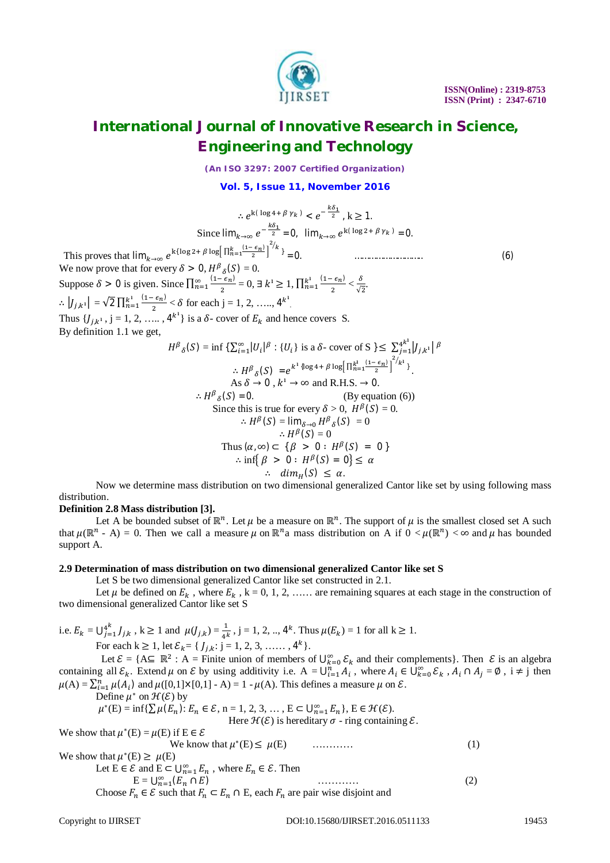

*(An ISO 3297: 2007 Certified Organization)*

### **Vol. 5, Issue 11, November 2016**

$$
\therefore e^{k(\log 4 + \beta \gamma_k)} < e^{-\frac{k\delta_1}{2}}, k \ge 1.
$$
\nSince  $\lim_{k \to \infty} e^{-\frac{k\delta_1}{2}} = 0$ ,  $\lim_{k \to \infty} e^{k(\log 2 + \beta \gamma_k)} = 0$ .  
\n $+ \beta \log \left[ \frac{n_{n-1}^k (1 - \epsilon_n)}{n_n} \right]^{2/k} \right] = 0$ 

 $\frac{6}{\sqrt{2}}$ .

This proves that  $\lim_{k\to\infty} e^{k(\log 2 + \beta \log \left[\prod_{n=1}^{k} \frac{(1-\epsilon_n)}{2}\right]})$ We now prove that for every  $\delta > 0$ ,  $H^{\beta}{}_{\delta}(S) = 0$ . Suppose  $\delta > 0$  is given. Since  $\prod_{n=1}^{\infty} \frac{(1 - \epsilon_n)}{n}$  $\overline{\mathbf{c}}$  $\sum_{n=1}^{\infty} \frac{(1-\epsilon_n)}{2} = 0, \exists k^1 \geq 1, \prod_{n=1}^{k^1} \frac{(1-\epsilon_n)}{2}$  $\overline{\mathbf{c}}$  $\frac{k^1}{n=1} \frac{(1-\epsilon_n)}{2} < \frac{\delta}{\sqrt{n}}$  $\therefore |J_{j,k^1}| = \sqrt{2} \prod_{n=1}^{k^1} \frac{(1-\epsilon_n)}{2}$ ଶ  $\frac{k^1}{n=1} \frac{(1-\epsilon_n)}{2} < \delta$  for each j = 1, 2, ...., 4<sup>k<sup>1</sup></sup>. Thus  $\{J_{j,k^1}, j = 1, 2, \ldots, 4^{k^1}\}\$  is a  $\delta$ - cover of  $E_k$  and hence covers S.

By definition 1.1 we get,

$$
H^{\beta}{}_{\delta}(S) = \inf \{ \sum_{i=1}^{\infty} |U_i|^{\beta} : \{U_i\} \text{ is a } \delta \text{- cover of } S \} \leq \sum_{j=1}^{4^{k^1}} |J_{j,k^1}|^{\beta}
$$
  
\n
$$
\therefore H^{\beta}{}_{\delta}(S) = e^{k^1 \{ \log 4 + \beta \log \left[ \prod_{n=1}^{k^1} \frac{(1 - \epsilon_n)}{2} \right]^2 / k^1 \}}.
$$
  
\nAs  $\delta \to 0$ ,  $k^1 \to \infty$  and R.H.S.  $\to 0$ .  
\n
$$
\therefore H^{\beta}{}_{\delta}(S) = 0.
$$
  
\nSince this is true for every  $\delta > 0$ ,  $H^{\beta}(S) = 0$ .  
\n
$$
\therefore H^{\beta}(S) = \lim_{\delta \to 0} H^{\beta}{}_{\delta}(S) = 0
$$
  
\n
$$
\therefore H^{\beta}(S) = 0
$$
  
\n
$$
\therefore H^{\beta}(S) = 0
$$
  
\nThus  $(\alpha, \infty) \subset \{\beta > 0 : H^{\beta}(S) = 0\}$   
\n
$$
\therefore \inf \{\beta > 0 : H^{\beta}(S) = 0\} \leq \alpha
$$
  
\n
$$
\therefore \dim_H(S) \leq \alpha.
$$

Now we determine mass distribution on two dimensional generalized Cantor like set by using following mass distribution.

### **Definition 2.8 Mass distribution [3].**

Let A be bounded subset of  $\mathbb{R}^n$ . Let  $\mu$  be a measure on  $\mathbb{R}^n$ . The support of  $\mu$  is the smallest closed set A such that  $\mu(\mathbb{R}^n - A) = 0$ . Then we call a measure  $\mu$  on  $\mathbb{R}^n$  a mass distribution on A if  $0 < \mu(\mathbb{R}^n) < \infty$  and  $\mu$  has bounded support A.

#### **2.9 Determination of mass distribution on two dimensional generalized Cantor like set S**

Let S be two dimensional generalized Cantor like set constructed in 2.1.

Let  $\mu$  be defined on  $E_k$ , where  $E_k$ ,  $k = 0, 1, 2, \ldots$  are remaining squares at each stage in the construction of two dimensional generalized Cantor like set S

i.e.  $E_k = \bigcup_{j=1}^{4^k} J_{j,k}$  $A_{j=1}^{4^k} J_{j,k}$ ,  $k \ge 1$  and  $\mu(J_{j,k}) = \frac{1}{4^k}$ ,  $j = 1, 2, ..., 4^k$ . Thus  $\mu(E_k) = 1$  for all  $k \ge 1$ . For each  $k \ge 1$ , let  $\mathcal{E}_k = \{ J_{j,k}: j = 1, 2, 3, \dots, 4^k \}.$ 

Let  $\mathcal{E} = \{ A \subseteq \mathbb{R}^2 : A = \text{Finite union of members of } \bigcup_{k=0}^{\infty} \mathcal{E}_k \text{ and their complements} \}.$  Then  $\mathcal{E}$  is an algebra containing all  $\mathcal{E}_k$ . Extend  $\mu$  on  $\mathcal E$  by using additivity i.e.  $A = \bigcup_{i=1}^n A_i$ , where  $A_i \in \bigcup_{k=0}^\infty \mathcal{E}_k$ ,  $A_i \cap A_j = \emptyset$ ,  $i \neq j$  then  $\mu(A) = \sum_{i=1}^{n} \mu(A_i)$  and  $\mu([0,1] \times [0,1] - A) = 1 - \mu(A)$ . This defines a measure  $\mu$  on  $\mathcal{E}$ .

Define  $\mu^*$  on  $\mathcal{H}(\mathcal{E})$  by

$$
\mu^*(E) = \inf \{ \sum \mu(E_n) : E_n \in \mathcal{E}, n = 1, 2, 3, \dots, E \subset \bigcup_{n=1}^{\infty} E_n \}, E \in \mathcal{H}(\mathcal{E}).
$$

Here  $\mathcal{H}(\mathcal{E})$  is hereditary  $\sigma$  - ring containing  $\mathcal{E}$ .

We show that  $\mu^*(E) = \mu(E)$  if  $E \in \mathcal{E}$ We know that  $\mu^*(E) \leq \mu(E)$  ………… (1) We show that  $\mu^*(E) \ge \mu(E)$ Let  $E \in \mathcal{E}$  and  $E \subset \bigcup_{n=1}^{\infty} E_n$ , where  $E_n \in \mathcal{E}$ . Then  $E = \bigcup_{n=1}^{\infty} (E_n \cap E)$  ............... (2) Choose  $F_n \in \mathcal{E}$  such that  $F_n \subset E_n \cap E$ , each  $F_n$  are pair wise disjoint and

= 0. ……………………….. (6)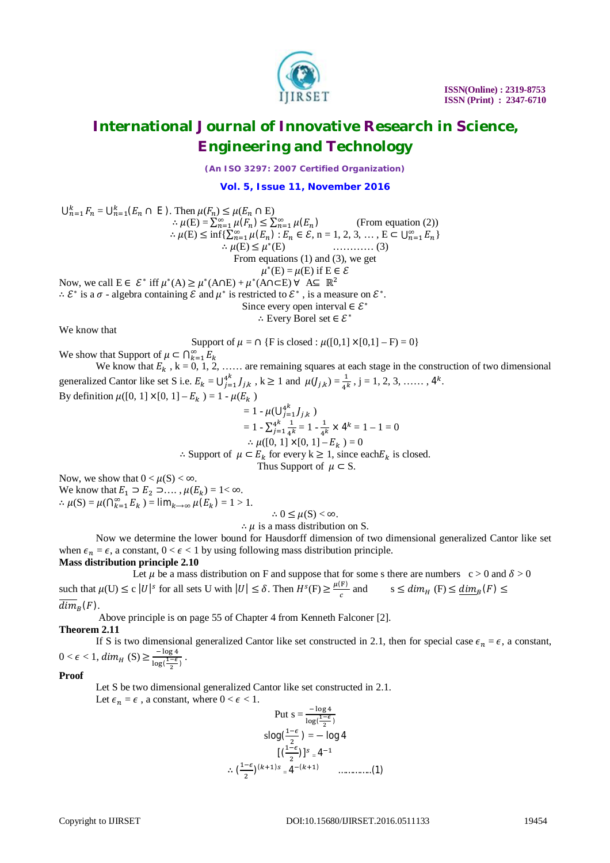

*(An ISO 3297: 2007 Certified Organization)*

**Vol. 5, Issue 11, November 2016**

$$
\bigcup_{n=1}^{k} F_n = \bigcup_{n=1}^{k} (E_n \cap E).
$$
 Then  $\mu(F_n) \le \mu(E_n \cap E)$   
\n
$$
\therefore \mu(E) = \sum_{n=1}^{\infty} \mu(F_n) \le \sum_{n=1}^{\infty} \mu(E_n)
$$
 (From equation (2))  
\n
$$
\therefore \mu(E) \le \inf \{ \sum_{n=1}^{\infty} \mu(E_n) : E_n \in \mathcal{E}, n = 1, 2, 3, ..., E \subset \bigcup_{n=1}^{\infty} E_n \}
$$
  
\n
$$
\therefore \mu(E) \le \mu^*(E)
$$
 .........(3)  
\nFrom equations (1) and (3), we get  
\n
$$
\mu^*(E) = \mu(E) \text{ if } E \in \mathcal{E}
$$
  
\nNow, we call  $E \in \mathcal{E}^*$  iff  $\mu^*(A) \ge \mu^*(A \cap E) + \mu^*(A \cap E) \forall A \subseteq \mathbb{R}^2$   
\n
$$
\therefore \mathcal{E}^*
$$
 is a  $\sigma$ - algebra containing  $\mathcal{E}$  and  $\mu^*$  is restricted to  $\mathcal{E}^*$ , is a measure on  $\mathcal{E}^*$ .  
\nSince every open interval  $\in \mathcal{E}^*$   
\n
$$
\therefore \text{ Every Borel set } \in \mathcal{E}^*
$$

We know that

Support of  $\mu = \cap \{F \text{ is closed}: \mu([0,1] \times [0,1] - F) = 0\}$ 

We show that Support of  $\mu \subset \bigcap_{k=1}^{\infty} E_k$ 

We know that  $E_k$ ,  $k = 0, 1, 2, \ldots$  are remaining squares at each stage in the construction of two dimensional generalized Cantor like set S i.e.  $E_k = \bigcup_{j=1}^{4^k} J_{j,k}$  $4^k_{j=1} J_{j,k}$ ,  $k \ge 1$  and  $\mu(J_{j,k}) = \frac{1}{4^k}$ ,  $j = 1, 2, 3, \dots, 4^k$ . By definition  $\mu([0, 1] \times [0, 1] - E_k) = 1 - \mu(E_k)$ 

$$
= 1 - \mu(\bigcup_{j=1}^{4^k} J_{j,k})
$$
  
\n
$$
= 1 - \sum_{j=1}^{4^k} \frac{1}{4^k} = 1 - \frac{1}{4^k} \times 4^k = 1 - 1 = 0
$$
  
\n∴  $\mu([0, 1] \times [0, 1] - E_k) = 0$   
\n∴ Support of  $\mu \subset E_k$  for every  $k \ge 1$ , since each  $E_k$  is closed.  
\nThus Support of  $\mu \subset S$ .

Now, we show that  $0 < \mu(S) < \infty$ .

We know that  $E_1 \supset E_2 \supset \dots$ ,  $\mu(E_k) = 1 < \infty$ .  $\therefore \mu(S) = \mu(\bigcap_{k=1}^{\infty} E_k) = \lim_{k \to \infty} \mu(E_k) = 1 > 1.$ 

 $\therefore 0 \leq \mu(S) < \infty$ .

 $\therefore u$  is a mass distribution on S.

Now we determine the lower bound for Hausdorff dimension of two dimensional generalized Cantor like set when  $\epsilon_n = \epsilon$ , a constant,  $0 < \epsilon < 1$  by using following mass distribution principle. **Mass distribution principle 2.10**

Let  $\mu$  be a mass distribution on F and suppose that for some s there are numbers c > 0 and  $\delta$  > 0 such that  $\mu(U) \le c |U|^s$  for all sets U with  $|U| \le \delta$ . Then  $H^s(F) \ge \frac{\mu(F)}{s}$  $\frac{F}{c}$  and  $s \leq dim_H(F) \leq \underline{dim}_B(F) \leq$  $dim_{B}(F)$ .

Above principle is on page 55 of Chapter 4 from Kenneth Falconer [2].

### **Theorem 2.11**

If S is two dimensional generalized Cantor like set constructed in 2.1, then for special case  $\epsilon_n = \epsilon$ , a constant,  $0 < \epsilon < 1$ ,  $dim_H(S) \geq \frac{-\log 4}{\log 4}$  $\frac{-\log 4}{\log(\frac{1-\epsilon}{2})}$ .

**Proof**

Let S be two dimensional generalized Cantor like set constructed in 2.1.

Let  $\epsilon_n = \epsilon$ , a constant, where  $0 < \epsilon < 1$ .

Put 
$$
s = \frac{-\log 4}{\log(\frac{1-\epsilon}{2})}
$$
  
\n $s\log(\frac{1-\epsilon}{2}) = -\log 4$   
\n
$$
[(\frac{1-\epsilon}{2})]^s = 4^{-1}
$$
\n $\therefore (\frac{1-\epsilon}{2})^{(k+1)s} = 4^{-(k+1)}$  .........(1)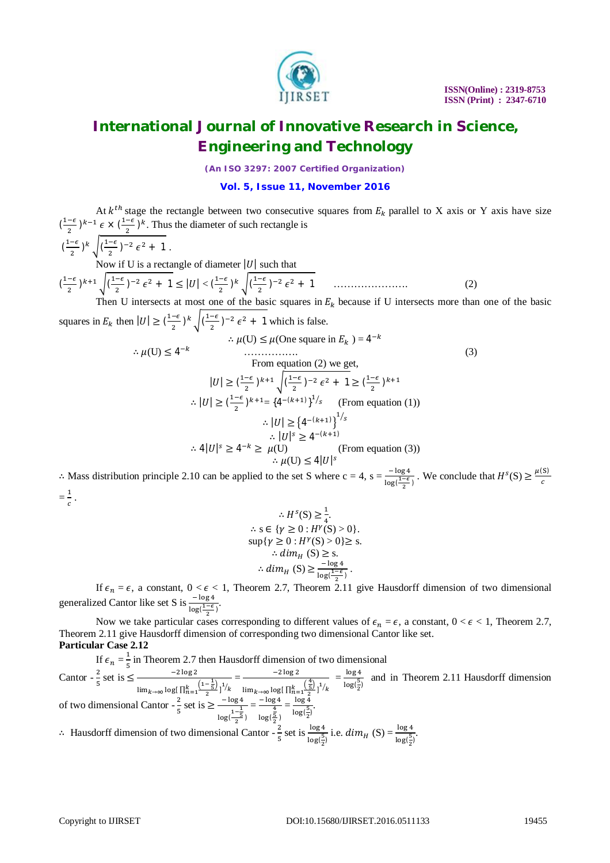

*(An ISO 3297: 2007 Certified Organization)*

### **Vol. 5, Issue 11, November 2016**

At  $k^{th}$  stage the rectangle between two consecutive squares from  $E_k$  parallel to X axis or Y axis have size  $\left(\frac{1-\epsilon}{2}\right)$  $\frac{-\epsilon}{2}$ )<sup>k-1</sup>  $\epsilon \times \left(\frac{1-\epsilon}{2}\right)$  $\frac{-\epsilon}{2}$ )<sup>k</sup>. Thus the diameter of such rectangle is

$$
(\frac{1-\epsilon}{2})^k \sqrt{(\frac{1-\epsilon}{2})^{-2} \epsilon^2 + 1}
$$
  
Now if U is a rectangle of diameter  $|U|$  such that  

$$
(\frac{1-\epsilon}{2})^{k+1} \sqrt{(\frac{1-\epsilon}{2})^{-2} \epsilon^2 + 1} \le |U| < (\frac{1-\epsilon}{2})^k \sqrt{(\frac{1-\epsilon}{2})^{-2} \epsilon^2 + 1}
$$
 (2)  
Then U intersects at most one of the basic squares in E<sub>1</sub>, because if U intersects more than on

Then U intersects at most one of the basic squares in  $E<sub>k</sub>$  because if U intersects more than one of the basic squares in  $E_k$  then  $|U| \geq \left(\frac{1-\epsilon}{2}\right)$  $\frac{-\epsilon}{2}$ )<sup>k</sup> $\sqrt{\frac{1-\epsilon}{2}}$  $\frac{-\epsilon}{2}$ )<sup>-2</sup>  $\epsilon^2$  + 1 which is false.

$$
\therefore \mu(U) \le 4^{-k}
$$
\n
$$
\therefore \mu(U) \le \mu(\text{One square in } E_k) = 4^{-k}
$$
\n
$$
\therefore \text{ From equation (2) we get,}
$$
\n
$$
|U| \ge \left(\frac{1-\epsilon}{2}\right)^{k+1} \sqrt{\left(\frac{1-\epsilon}{2}\right)^{-2} \epsilon^2 + 1} \ge \left(\frac{1-\epsilon}{2}\right)^{k+1}
$$
\n
$$
\therefore |U| \ge \left(\frac{1-\epsilon}{2}\right)^{k+1} = \left\{4^{-(k+1)}\right\}^{1/s} \quad \text{(From equation (1))}
$$
\n
$$
\therefore |U| \ge \left\{4^{-(k+1)}\right\}^{1/s}
$$
\n
$$
\therefore |U|^s \ge 4^{-(k+1)}
$$
\n
$$
\therefore |U|^s \ge 4^{-(k+1)}
$$
\n
$$
\therefore \mu(U) \le 4|U|^s
$$
\n
$$
= \log 4
$$

∴ Mass distribution principle 2.10 can be applied to the set S where  $c = 4$ ,  $s = \frac{-\log 4}{\log(\frac{1-\epsilon}{2})}$ . We conclude that  $H^{s}(S) \ge \frac{\mu(S)}{c}$ c  $=\frac{1}{a}$  $\frac{1}{c}$ .

$$
\therefore H^{s}(S) \geq \frac{1}{4}.
$$
  
\n
$$
\therefore s \in \{\gamma \geq 0 : H^{\gamma}(S) > 0\}.
$$
  
\n
$$
\sup \{\gamma \geq 0 : H^{\gamma}(S) > 0\} \geq s.
$$
  
\n
$$
\therefore dim_{H}(S) \geq \frac{-\log 4}{\log(\frac{1-\epsilon}{2})}.
$$

If  $\epsilon_n = \epsilon$ , a constant,  $0 < \epsilon < 1$ , Theorem 2.7, Theorem 2.11 give Hausdorff dimension of two dimensional generalized Cantor like set S is  $\frac{-\log 4}{\log(\frac{1-\epsilon}{2})}$ .

Now we take particular cases corresponding to different values of  $\epsilon_n = \epsilon$ , a constant,  $0 < \epsilon < 1$ , Theorem 2.7, Theorem 2.11 give Hausdorff dimension of corresponding two dimensional Cantor like set. **Particular Case 2.12**

If  $\epsilon_n = \frac{1}{5}$  $\frac{1}{5}$  in Theorem 2.7 then Hausdorff dimension of two dimensional Cantor -  $\frac{2}{5}$  $\frac{2}{5}$  set is  $\leq \frac{-2 \log 2}{5}$  $\lim_{k\to\infty} \log\left[\prod_{n=1}^{k} \frac{\left(1-\frac{1}{5}\right)}{2}\right]$  $\frac{k}{n-1} \frac{(1-\frac{1}{5})}{2} 1^{\frac{1}{k}} = \frac{-2 \log 2}{\lim_{k \to \infty} \log \left[\prod_{n=1}^{k} \right]}$  $\lim_{k\to\infty} \log\left[\prod_{n=1}^{k}\frac{\left(\frac{4}{5}\right)}{2}\right]$  $rac{1}{\frac{k}{2} \cdot \left(\frac{4}{5}\right)} \cdot \frac{1}{k} = \frac{\log 4}{\log(\frac{5}{2})}$  $\frac{\log \frac{1}{2}}{\log(\frac{5}{2})}$  and in Theorem 2.11 Hausdorff dimension of two dimensional Cantor -  $\frac{2}{5}$  $\frac{2}{5}$  set is  $\geq \frac{-\log 4}{1-\frac{1}{5}}$  $log(\frac{1-\frac{1}{5}}{2})$  $=\frac{-\log 4}{4}$ log(  $\frac{4}{5}$ )  $=\frac{\log 4}{\sqrt{5}}$  $\frac{\log 4}{\log(\frac{5}{2})}$ 

∴ Hausdorff dimension of two dimensional Cantor  $-\frac{2}{5}$  set is  $\frac{\log 4}{\log(\frac{5}{2})}$  i.e.  $dim_H(S) = \frac{\log 4}{\log(\frac{5}{2})}$ . ଶ